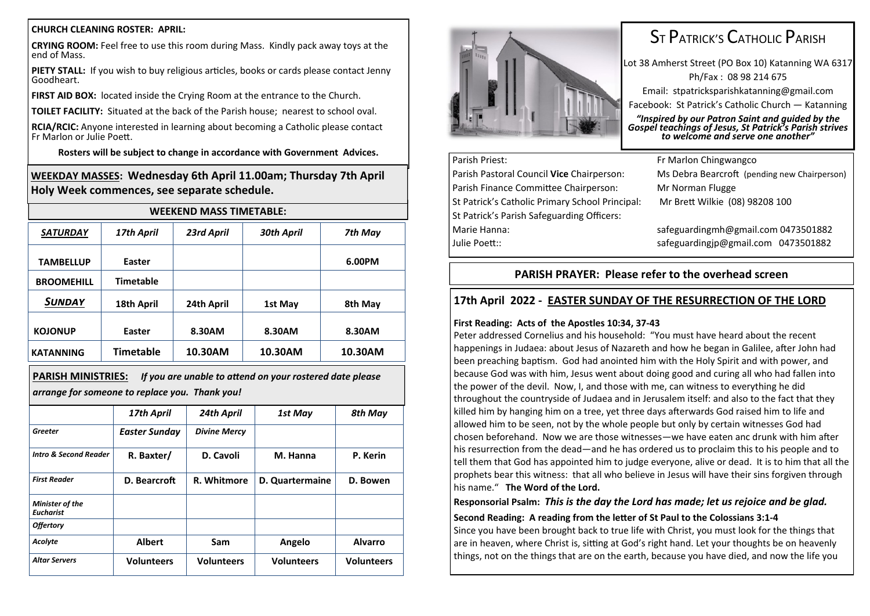#### **CHURCH CLEANING ROSTER: APRIL:**

**CRYING ROOM:** Feel free to use this room during Mass. Kindly pack away toys at the end of Mass.

**PIETY STALL:** If you wish to buy religious articles, books or cards please contact Jenny Goodheart.

**FIRST AID BOX:** located inside the Crying Room at the entrance to the Church.

**TOILET FACILITY:** Situated at the back of the Parish house; nearest to school oval.

**RCIA/RCIC:** Anyone interested in learning about becoming a Catholic please contact Fr Marlon or Julie Poett.

**Rosters will be subject to change in accordance with Government Advices.**

**WEEKDAY MASSES: Wednesday 6th April 11.00am; Thursday 7th April Holy Week commences, see separate schedule.**

| <b>WEEKEND MASS TIMETABLE:</b> |                  |            |            |         |  |  |
|--------------------------------|------------------|------------|------------|---------|--|--|
| <b>SATURDAY</b>                | 17th April       | 23rd April | 30th April | 7th May |  |  |
| <b>TAMBELLUP</b>               | Easter           |            |            | 6.00PM  |  |  |
| <b>BROOMEHILL</b>              | <b>Timetable</b> |            |            |         |  |  |
| <b>SUNDAY</b>                  | 18th April       | 24th April | 1st May    | 8th May |  |  |
| <b>KOJONUP</b>                 | Easter           | 8.30AM     | 8.30AM     | 8.30AM  |  |  |
| <b>KATANNING</b>               | <b>Timetable</b> | 10.30AM    | 10.30AM    | 10.30AM |  |  |

**PARISH MINISTRIES:** *If you are unable to attend on your rostered date please arrange for someone to replace you. Thank you!*

|                                     | 17th April           | 24th April          | 1st May           | 8th May           |
|-------------------------------------|----------------------|---------------------|-------------------|-------------------|
| Greeter                             | <b>Easter Sunday</b> | <b>Divine Mercy</b> |                   |                   |
| <b>Intro &amp; Second Reader</b>    | R. Baxter/           | D. Cavoli           | M. Hanna          | P. Kerin          |
| <b>First Reader</b>                 | D. Bearcroft         | R. Whitmore         | D. Quartermaine   | D. Bowen          |
| Minister of the<br><b>Eucharist</b> |                      |                     |                   |                   |
| <b>Offertory</b>                    |                      |                     |                   |                   |
| Acolyte                             | <b>Albert</b>        | Sam                 | Angelo            | <b>Alvarro</b>    |
| <b>Altar Servers</b>                | <b>Volunteers</b>    | <b>Volunteers</b>   | <b>Volunteers</b> | <b>Volunteers</b> |



# ST PATRICK'S CATHOLIC PARISH

Lot 38 Amherst Street (PO Box 10) Katanning WA 6317 Ph/Fax : 08 98 214 675 Email: stpatricksparishkatanning@gmail.com Facebook: St Patrick's Catholic Church — Katanning

*"Inspired by our Patron Saint and guided by the Gospel teachings of Jesus, St Patrick's Parish strives to welcome and serve one another"*

# Parish Priest: Fr Marlon Chingwangco

Parish Finance Committee Chairperson: Mr Norman Flugge St Patrick's Catholic Primary School Principal: Mr Brett Wilkie (08) 98208 100 St Patrick's Parish Safeguarding Officers: Marie Hanna: safeguardingmh@gmail.com 0473501882 Julie Poett:: safeguardingjp@gmail.com 0473501882

Parish Pastoral Council **Vice** Chairperson: Ms Debra Bearcroft (pending new Chairperson)

# **PARISH PRAYER: Please refer to the overhead screen**

# **17th April 2022 - EASTER SUNDAY OF THE RESURRECTION OF THE LORD**

## **First Reading: Acts of the Apostles 10:34, 37-43**

Peter addressed Cornelius and his household: "You must have heard about the recent happenings in Judaea: about Jesus of Nazareth and how he began in Galilee, after John had been preaching baptism. God had anointed him with the Holy Spirit and with power, and because God was with him, Jesus went about doing good and curing all who had fallen into the power of the devil. Now, I, and those with me, can witness to everything he did throughout the countryside of Judaea and in Jerusalem itself: and also to the fact that they killed him by hanging him on a tree, yet three days afterwards God raised him to life and allowed him to be seen, not by the whole people but only by certain witnesses God had chosen beforehand. Now we are those witnesses—we have eaten anc drunk with him after his resurrection from the dead—and he has ordered us to proclaim this to his people and to tell them that God has appointed him to judge everyone, alive or dead. It is to him that all the prophets bear this witness: that all who believe in Jesus will have their sins forgiven through his name." **The Word of the Lord.**

# **Responsorial Psalm:** *This is the day the Lord has made; let us rejoice and be glad.*

**Second Reading: A reading from the letter of St Paul to the Colossians 3:1-4**  Since you have been brought back to true life with Christ, you must look for the things that

are in heaven, where Christ is, sitting at God's right hand. Let your thoughts be on heavenly things, not on the things that are on the earth, because you have died, and now the life you